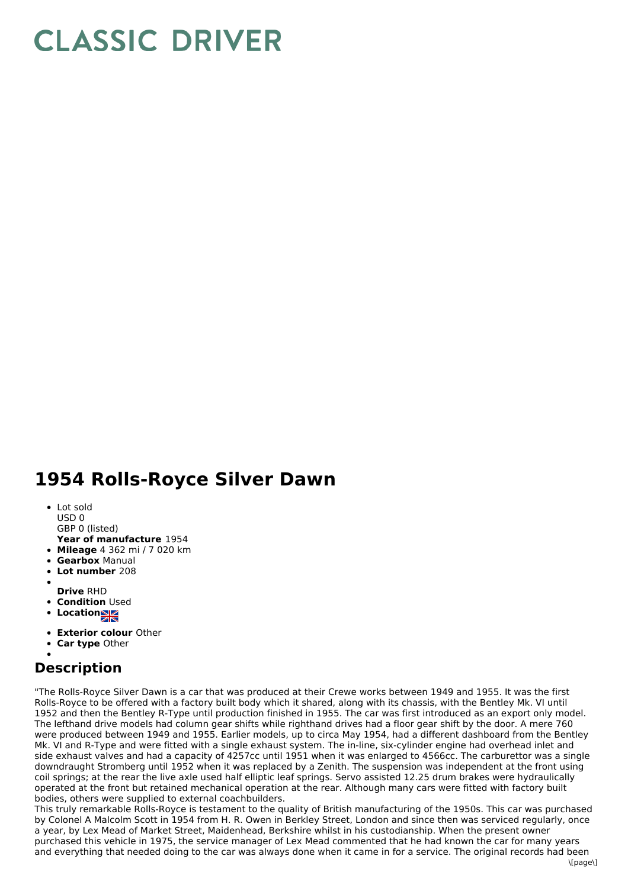## **CLASSIC DRIVER**

## **1954 Rolls-Royce Silver Dawn**

- Lot sold USD 0
- GBP 0 (listed)
- **Year of manufacture** 1954
- **Mileage** 4 362 mi / 7 020 km
- **Gearbox** Manual
- **Lot number** 208
- 
- **Drive** RHD
- **Condition Used**
- **Locations**
- **Exterior colour** Other
- **Car type** Other

## **Description**

"The Rolls-Royce Silver Dawn is a car that was produced at their Crewe works between 1949 and 1955. It was the first Rolls-Royce to be offered with a factory built body which it shared, along with its chassis, with the Bentley Mk. VI until 1952 and then the Bentley R-Type until production finished in 1955. The car was first introduced as an export only model. The lefthand drive models had column gear shifts while righthand drives had a floor gear shift by the door. A mere 760 were produced between 1949 and 1955. Earlier models, up to circa May 1954, had a different dashboard from the Bentley Mk. VI and R-Type and were fitted with a single exhaust system. The in-line, six-cylinder engine had overhead inlet and side exhaust valves and had a capacity of 4257cc until 1951 when it was enlarged to 4566cc. The carburettor was a single downdraught Stromberg until 1952 when it was replaced by a Zenith. The suspension was independent at the front using coil springs; at the rear the live axle used half elliptic leaf springs. Servo assisted 12.25 drum brakes were hydraulically operated at the front but retained mechanical operation at the rear. Although many cars were fitted with factory built bodies, others were supplied to external coachbuilders.

This truly remarkable Rolls-Royce is testament to the quality of British manufacturing of the 1950s. This car was purchased by Colonel A Malcolm Scott in 1954 from H. R. Owen in Berkley Street, London and since then was serviced regularly, once a year, by Lex Mead of Market Street, Maidenhead, Berkshire whilst in his custodianship. When the present owner purchased this vehicle in 1975, the service manager of Lex Mead commented that he had known the car for many years and everything that needed doing to the car was always done when it came in for a service. The original records had been

 $\ln$ age $\ln$